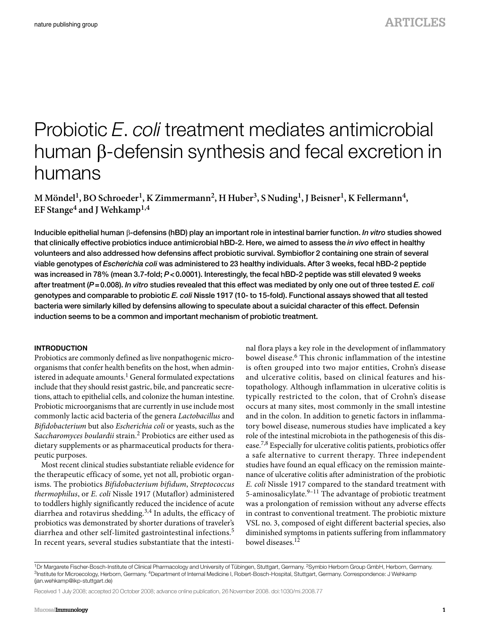# Probiotic *E*. *coli* treatment mediates antimicrobial human  $\beta$ -defensin synthesis and fecal excretion in humans

M Möndel<sup>1</sup>, BO Schroeder<sup>1</sup>, K Zimmermann<sup>2</sup>, H Huber<sup>3</sup>, S Nuding<sup>1</sup>, J Beisner<sup>1</sup>, K Fellermann<sup>4</sup>, EF Stange<sup>4</sup> and J Wehkamp<sup>1,4</sup>

**Inducible epithelial human -defensins (hBD) play an important role in intestinal barrier function.** *In vitro* **studies showed that clinically effective probiotics induce antimicrobial hBD-2. Here, we aimed to assess the** *in vivo* **effect in healthy volunteers and also addressed how defensins affect probiotic survival. Symbioflor 2 containing one strain of several viable genotypes of** *Escherichia coli* **was administered to 23 healthy individuals. After 3 weeks, fecal hBD-2 peptide was increased in 78 %(mean 3.7-fold;** *P* **< 0.0001). Interestingly, the fecal hBD-2 peptide was still elevated 9 weeks**  after treatment (P=0.008). *In vitro* studies revealed that this effect was mediated by only one out of three tested *E. coli* **genotypes and comparable to probiotic** *E. coli* **Nissle 1917 (10- to 15-fold). Functional assays showed that all tested bacteria were similarly killed by defensins allowing to speculate about a suicidal character of this effect. Defensin induction seems to be a common and important mechanism of probiotic treatment.** 

# **INTRODUCTION**

 Probiotics are commonly defined as live nonpathogenic microorganisms that confer health benefits on the host, when administered in adequate amounts.<sup>1</sup> General formulated expectations include that they should resist gastric, bile, and pancreatic secretions, attach to epithelial cells, and colonize the human intestine. Probiotic microorganisms that are currently in use include most commonly lactic acid bacteria of the genera *Lactobacillus* and *Bifidobacterium* but also *Escherichia coli* or yeasts, such as the *Saccharomyces boulardii* strain. 2 Probiotics are either used as dietary supplements or as pharmaceutical products for therapeutic purposes.

 Most recent clinical studies substantiate reliable evidence for the therapeutic efficacy of some, yet not all, probiotic organisms. The probiotics *Bifidobacterium bifidum* , *Streptococcus thermophilus* , or *E. coli* Nissle 1917 (Mutaflor) administered to toddlers highly significantly reduced the incidence of acute diarrhea and rotavirus shedding.<sup>3,4</sup> In adults, the efficacy of probiotics was demonstrated by shorter durations of traveler's diarrhea and other self-limited gastrointestinal infections.<sup>5</sup> In recent years, several studies substantiate that the intestinal flora plays a key role in the development of inflammatory bowel disease.<sup>6</sup> This chronic inflammation of the intestine is often grouped into two major entities, Crohn's disease and ulcerative colitis, based on clinical features and histopathology. Although inflammation in ulcerative colitis is typically restricted to the colon, that of Crohn's disease occurs at many sites, most commonly in the small intestine and in the colon. In addition to genetic factors in inflammatory bowel disease, numerous studies have implicated a key role of the intestinal microbiota in the pathogenesis of this disease.<sup>7,8</sup> Especially for ulcerative colitis patients, probiotics offer a safe alternative to current therapy. Three independent studies have found an equal efficacy on the remission maintenance of ulcerative colitis after administration of the probiotic *E. coli* Nissle 1917 compared to the standard treatment with 5-aminosalicylate. $9-11$  The advantage of probiotic treatment was a prolongation of remission without any adverse effects in contrast to conventional treatment. The probiotic mixture VSL no. 3, composed of eight different bacterial species, also diminished symptoms in patients suffering from inflammatory bowel diseases. 12

Received 1 July 2008; accepted 20 October 2008; advance online publication, 26 November 2008. doi:1030/mi.2008.77

<sup>&</sup>lt;sup>1</sup>Dr Margarete Fischer-Bosch-Institute of Clinical Pharmacology and University of Tübingen, Stuttgart, Germany. <sup>2</sup>Symbio Herborn Group GmbH, Herborn, Germany.<br><sup>3</sup>Institute for Microecology, Herborn, Germany. <sup>4</sup>Departmen (ian.wehkamp@ikp-stuttgart.de)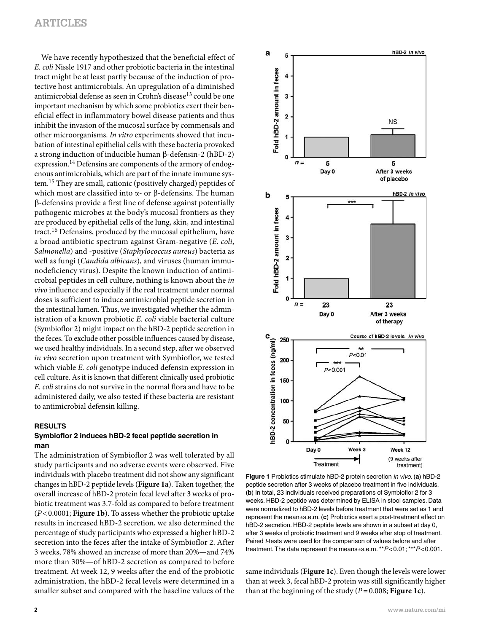We have recently hypothesized that the beneficial effect of *E. coli* Nissle 1917 and other probiotic bacteria in the intestinal tract might be at least partly because of the induction of protective host antimicrobials. An upregulation of a diminished antimicrobial defense as seen in Crohn's disease<sup>13</sup> could be one important mechanism by which some probiotics exert their beneficial effect in inflammatory bowel disease patients and thus inhibit the invasion of the mucosal surface by commensals and other microorganisms. *In vitro* experiments showed that incubation of intestinal epithelial cells with these bacteria provoked a strong induction of inducible human  $\beta$ -defensin-2 (hBD-2) expression.<sup>14</sup> Defensins are components of the armory of endogenous antimicrobials, which are part of the innate immune system. 15 They are small, cationic (positively charged) peptides of which most are classified into  $\alpha$ - or  $\beta$ -defensins. The human -defensins provide a first line of defense against potentially pathogenic microbes at the body's mucosal frontiers as they are produced by epithelial cells of the lung, skin, and intestinal tract. 16 Defensins, produced by the mucosal epithelium, have a broad antibiotic spectrum against Gram-negative (*E. coli*, *Salmonella* ) and -positive ( *Staphylococcus aureus* ) bacteria as well as fungi ( *Candida albicans* ), and viruses (human immunodeficiency virus). Despite the known induction of antimicrobial peptides in cell culture, nothing is known about the *in vivo* influence and especially if the real treatment under normal doses is sufficient to induce antimicrobial peptide secretion in the intestinal lumen. Thus, we investigated whether the administration of a known probiotic *E. coli* viable bacterial culture (Symbioflor 2) might impact on the hBD-2 peptide secretion in the feces. To exclude other possible influences caused by disease, we used healthy individuals. In a second step, after we observed *in vivo* secretion upon treatment with Symbioflor, we tested which viable *E. coli* genotype induced defensin expression in cell culture. As it is known that different clinically used probiotic *E. coli* strains do not survive in the normal flora and have to be administered daily, we also tested if these bacteria are resistant to antimicrobial defensin killing.

# **RESULTS**

# **Symbioflor 2 induces hBD-2 fecal peptide secretion in man**

 The administration of Symbioflor 2 was well tolerated by all study participants and no adverse events were observed. Five individuals with placebo treatment did not show any significant changes in hBD-2 peptide levels ( **Figure 1a** ). Taken together, the overall increase of hBD-2 protein fecal level after 3 weeks of probiotic treatment was 3.7-fold as compared to before treatment ( *P* < 0.0001; **Figure 1b** ). To assess whether the probiotic uptake results in increased hBD-2 secretion, we also determined the percentage of study participants who expressed a higher hBD-2 secretion into the feces after the intake of Symbioflor 2. After 3 weeks, 78% showed an increase of more than 20%—and 74% more than 30%—of hBD-2 secretion as compared to before treatment. At week 12, 9 weeks after the end of the probiotic administration, the hBD-2 fecal levels were determined in a smaller subset and compared with the baseline values of the



**Figure 1** Probiotics stimulate hBD-2 protein secretion *in vivo*. ( **a**) hBD-2 peptide secretion after 3 weeks of placebo treatment in five individuals. (b) In total, 23 individuals received preparations of Symbioflor 2 for 3 weeks. HBD-2 peptide was determined by ELISA in stool samples. Data were normalized to hBD-2 levels before treatment that were set as 1 and represent the mean±s.e.m. (c) Probiotics exert a post-treatment effect on hBD-2 secretion. HBD-2 peptide levels are shown in a subset at day 0, after 3 weeks of probiotic treatment and 9 weeks after stop of treatment. Paired *t*-tests were used for the comparison of values before and after treatment. The data represent the means±s.e.m. \*\*  $P < 0.01$ ; \*\*\*  $P < 0.001$ .

same individuals (Figure 1c). Even though the levels were lower than at week 3, fecal hBD-2 protein was still significantly higher than at the beginning of the study  $(P=0.008; \text{Figure 1c})$ .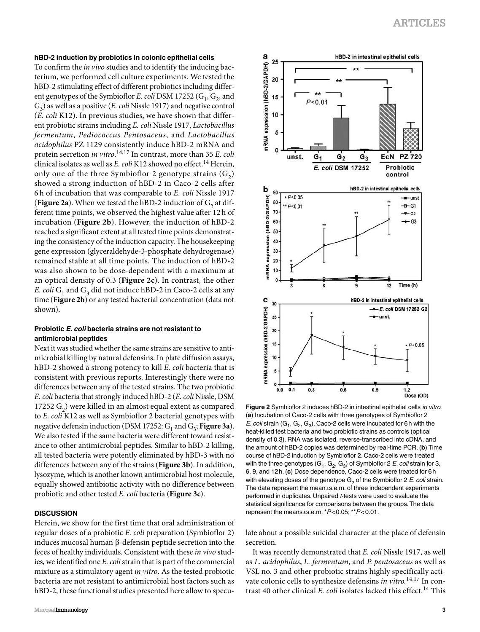### **hBD-2 induction by probiotics in colonic epithelial cells**

 To confirm the *in vivo* studies and to identify the inducing bacterium, we performed cell culture experiments. We tested the hBD-2 stimulating effect of different probiotics including different genotypes of the Symbioflor *E. coli* DSM 17252 (G<sub>1</sub>, G<sub>2</sub>, and  $G_3$ ) as well as a positive (*E. coli* Nissle 1917) and negative control ( *E. coli* K12). In previous studies, we have shown that different probiotic strains including *E. coli* Nissle 1917, *Lactobacillus fermentum* , *Pediococcus Pentosaceus* , and *Lactobacillus acidophilus* PZ 1129 consistently induce hBD-2 mRNA and protein secretion *in vitro*.<sup>14,17</sup> In contrast, more than 35 *E. coli* clinical isolates as well as *E. coli* K12 showed no effect. 14 Herein, only one of the three Symbioflor 2 genotype strains  $(G_2)$ showed a strong induction of hBD-2 in Caco-2 cells after 6 h of incubation that was comparable to *E. coli* Nissle 1917 (Figure 2a). When we tested the hBD-2 induction of  $G<sub>2</sub>$  at different time points, we observed the highest value after 12 h of incubation ( **Figure 2b** ). However, the induction of hBD-2 reached a significant extent at all tested time points demonstrating the consistency of the induction capacity. The housekeeping gene expression (glyceraldehyde-3-phosphate dehydrogenase) remained stable at all time points. The induction of hBD-2 was also shown to be dose-dependent with a maximum at an optical density of 0.3 ( **Figure 2c** ). In contrast, the other *E. coli*  $G_1$  and  $G_3$  did not induce hBD-2 in Caco-2 cells at any time (Figure 2b) or any tested bacterial concentration (data not shown).

# **Probiotic** *E. coli* **bacteria strains are not resistant to antimicrobial peptides**

 Next it was studied whether the same strains are sensitive to antimicrobial killing by natural defensins. In plate diffusion assays, hBD-2 showed a strong potency to kill *E. coli* bacteria that is consistent with previous reports. Interestingly there were no differences between any of the tested strains. The two probiotic *E. coli* bacteria that strongly induced hBD-2 (*E. coli* Nissle, DSM 17252  $G_2$ ) were killed in an almost equal extent as compared to *E. coli* K12 as well as Symbioflor 2 bacterial genotypes with negative defensin induction (DSM 17252:  $G_1$  and  $G_3$ ; **Figure 3a**). We also tested if the same bacteria were different toward resistance to other antimicrobial peptides. Similar to hBD-2 killing, all tested bacteria were potently eliminated by hBD-3 with no differences between any of the strains (Figure 3b). In addition, lysozyme, which is another known antimicrobial host molecule, equally showed antibiotic activity with no difference between probiotic and other tested *E. coli* bacteria ( **Figure 3c** ).

#### **DISCUSSION**

 Herein, we show for the first time that oral administration of regular doses of a probiotic *E. coli* preparation (Symbioflor 2) induces mucosal human  $\beta$ -defensin peptide secretion into the feces of healthy individuals. Consistent with these *in vivo* studies, we identified one *E. coli* strain that is part of the commercial mixture as a stimulatory agent *in vitro* . As the tested probiotic bacteria are not resistant to antimicrobial host factors such as hBD-2, these functional studies presented here allow to specu-



**Figure 2** Symbioflor 2 induces hBD-2 in intestinal epithelial cells *in vitro.* ( **a**) Incubation of Caco-2 cells with three genotypes of Symbioflor 2 *E. coli* strain  $(G_1, G_2, G_3)$ . Caco-2 cells were incubated for 6 h with the heat-killed test bacteria and two probiotic strains as controls (optical density of 0.3). RNA was isolated, reverse-transcribed into cDNA, and the amount of hBD-2 copies was determined by real-time PCR. ( **b**) Time course of hBD-2 induction by Symbioflor 2. Caco-2 cells were treated with the three genotypes  $(G_1, G_2, G_3)$  of Symbioflor 2 *E. coli* strain for 3, 6, 9, and 12 h. ( **c**) Dose dependence, Caco-2 cells were treated for 6 h with elevating doses of the genotype  $G<sub>2</sub>$  of the Symbioflor 2 *E. coli* strain. The data represent the mean $\pm$ s.e.m. of three independent experiments performed in duplicates. Unpaired *t*-tests were used to evaluate the statistical significance for comparisons between the groups. The data represent the means±s.e.m. \*  $P$  < 0.05; \*\*  $P$  < 0.01.

late about a possible suicidal character at the place of defensin secretion.

 It was recently demonstrated that *E. coli* Nissle 1917, as well as *L. acidophilus* , *L. fermentum* , and *P. pentosaceus* as well as VSL no. 3 and other probiotic strains highly specifically activate colonic cells to synthesize defensins *in vitro.*14,17 In contrast 40 other clinical *E. coli* isolates lacked this effect.<sup>14</sup> This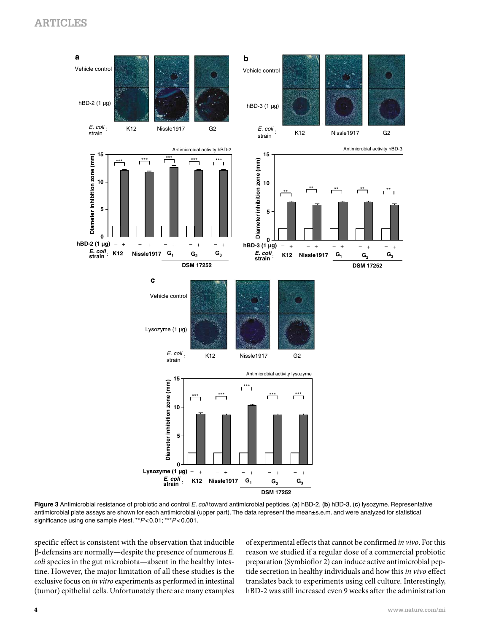

**Figure 3** Antimicrobial resistance of probiotic and control *E. coli* toward antimicrobial peptides. ( **a**) hBD-2, ( **b**) hBD-3, ( **c**) lysozyme. Representative antimicrobial plate assays are shown for each antimicrobial (upper part). The data represent the mean±s.e.m. and were analyzed for statistical significance using one sample *t*-test. \*\*  $P < 0.01$ ; \*\*\*  $P < 0.001$ .

specific effect is consistent with the observation that inducible -defensins are normally — despite the presence of numerous *E. coli* species in the gut microbiota—absent in the healthy intestine. However, the major limitation of all these studies is the exclusive focus on *in vitro* experiments as performed in intestinal (tumor) epithelial cells. Unfortunately there are many examples of experimental effects that cannot be confirmed *in vivo* . For this reason we studied if a regular dose of a commercial probiotic preparation (Symbioflor 2) can induce active antimicrobial peptide secretion in healthy individuals and how this *in vivo* effect translates back to experiments using cell culture. Interestingly, hBD-2 was still increased even 9 weeks after the administration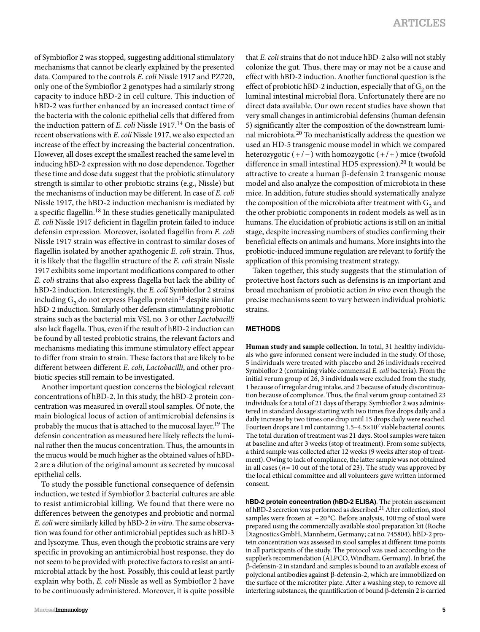of Symbioflor 2 was stopped, suggesting additional stimulatory mechanisms that cannot be clearly explained by the presented data. Compared to the controls *E. coli* Nissle 1917 and PZ720, only one of the Symbioflor 2 genotypes had a similarly strong capacity to induce hBD-2 in cell culture. This induction of hBD-2 was further enhanced by an increased contact time of the bacteria with the colonic epithelial cells that differed from the induction pattern of *E. coli* Nissle 1917.<sup>14</sup> On the basis of recent observations with *E. coli* Nissle 1917, we also expected an increase of the effect by increasing the bacterial concentration. However, all doses except the smallest reached the same level in inducing hBD-2 expression with no dose dependence. Together these time and dose data suggest that the probiotic stimulatory strength is similar to other probiotic strains (e.g., Nissle) but the mechanisms of induction may be different. In case of *E. coli* Nissle 1917, the hBD-2 induction mechanism is mediated by a specific flagellin. 18 In these studies genetically manipulated *E. coli* Nissle 1917 deficient in flagellin protein failed to induce defensin expression. Moreover, isolated flagellin from *E. coli* Nissle 1917 strain was effective in contrast to similar doses of flagellin isolated by another apathogenic *E. coli* strain. Thus, it is likely that the flagellin structure of the *E. coli* strain Nissle 1917 exhibits some important modifications compared to other *E. coli* strains that also express flagella but lack the ability of hBD-2 induction. Interestingly, the *E. coli* Symbioflor 2 strains including  $\mathrm{G}_2$  do not express Flagella protein  $^{18}$  despite similar hBD-2 induction. Similarly other defensin stimulating probiotic strains such as the bacterial mix VSL no. 3 or other *Lactobacilli* also lack flagella. Thus, even if the result of hBD-2 induction can be found by all tested probiotic strains, the relevant factors and mechanisms mediating this immune stimulatory effect appear to differ from strain to strain. These factors that are likely to be different between different *E. coli* , *Lactobacilli* , and other probiotic species still remain to be investigated.

 Another important question concerns the biological relevant concentrations of hBD-2. In this study, the hBD-2 protein concentration was measured in overall stool samples. Of note, the main biological locus of action of antimicrobial defensins is probably the mucus that is attached to the mucosal layer. 19 The defensin concentration as measured here likely reflects the luminal rather then the mucus concentration. Thus, the amounts in the mucus would be much higher as the obtained values of hBD-2 are a dilution of the original amount as secreted by mucosal epithelial cells.

 To study the possible functional consequence of defensin induction, we tested if Symbioflor 2 bacterial cultures are able to resist antimicrobial killing. We found that there were no differences between the genotypes and probiotic and normal *E. coli* were similarly killed by hBD-2 *in vitro* . The same observation was found for other antimicrobial peptides such as hBD-3 and lysozyme. Thus, even though the probiotic strains are very specific in provoking an antimicrobial host response, they do not seem to be provided with protective factors to resist an antimicrobial attack by the host. Possibly, this could at least partly explain why both, *E. coli* Nissle as well as Symbioflor 2 have to be continuously administered. Moreover, it is quite possible that *E. coli* strains that do not induce hBD-2 also will not stably colonize the gut. Thus, there may or may not be a cause and effect with hBD-2 induction. Another functional question is the effect of probiotic hBD-2 induction, especially that of  $G_2$  on the luminal intestinal microbial flora. Unfortunately there are no direct data available. Our own recent studies have shown that very small changes in antimicrobial defensins (human defensin 5) significantly alter the composition of the downstream luminal microbiota.<sup>20</sup> To mechanistically address the question we used an HD-5 transgenic mouse model in which we compared heterozygotic  $(+/-)$  with homozygotic  $(+/+)$  mice (twofold difference in small intestinal HD5 expression).<sup>20</sup> It would be attractive to create a human  $\beta$ -defensin 2 transgenic mouse model and also analyze the composition of microbiota in these mice. In addition, future studies should systematically analyze the composition of the microbiota after treatment with  $G<sub>2</sub>$  and the other probiotic components in rodent models as well as in humans. The elucidation of probiotic actions is still on an initial stage, despite increasing numbers of studies confirming their beneficial effects on animals and humans. More insights into the probiotic-induced immune regulation are relevant to fortify the application of this promising treatment strategy.

 Taken together, this study suggests that the stimulation of protective host factors such as defensins is an important and broad mechanism of probiotic action *in vivo* even though the precise mechanisms seem to vary between individual probiotic strains.

#### **METHODS**

Human study and sample collection. In total, 31 healthy individuals who gave informed consent were included in the study. Of those, 5 individuals were treated with placebo and 26 individuals received Symbioflor 2 (containing viable commensal *E. coli* bacteria). From the initial verum group of 26, 3 individuals were excluded from the study, 1 because of irregular drug intake, and 2 because of study discontinuation because of compliance. Thus, the final verum group contained 23 individuals for a total of 21 days of therapy. Symbioflor 2 was administered in standard dosage starting with two times five drops daily and a daily increase by two times one drop until 15 drops daily were reached. Fourteen drops are 1 ml containing  $1.5-4.5\times10^7$  viable bacterial counts. The total duration of treatment was 21 days. Stool samples were taken at baseline and after 3 weeks (stop of treatment). From some subjects, a third sample was collected after 12 weeks (9 weeks after stop of treatment). Owing to lack of compliance, the latter sample was not obtained in all cases ( $n = 10$  out of the total of 23). The study was approved by the local ethical committee and all volunteers gave written informed consent.

**hBD-2 protein concentration (hBD-2 ELISA)** . The protein assessment of hBD-2 secretion was performed as described.<sup>21</sup> After collection, stool samples were frozen at −20 °C. Before analysis, 100 mg of stool were prepared using the commercially available stool preparation kit (Roche Diagnostics GmbH, Mannheim, Germany; cat no. 745804). hBD-2 protein concentration was assessed in stool samples at different time points in all participants of the study. The protocol was used according to the supplier's recommendation (ALPCO, Windham, Germany). In brief, the  $\beta$ -defensin-2 in standard and samples is bound to an available excess of polyclonal antibodies against  $\beta$ -defensin-2, which are immobilized on the surface of the microtiter plate. After a washing step, to remove all interfering substances, the quantification of bound  $\beta$ -defensin 2 is carried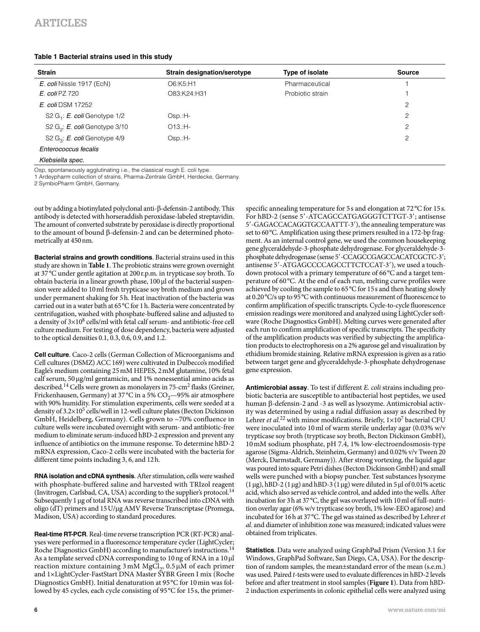# **Table 1 Bacterial strains used in this study**

| <b>Strain</b>                     | <b>Strain designation/serotype</b> | Type of isolate  | Source         |
|-----------------------------------|------------------------------------|------------------|----------------|
| E. coli Nissle 1917 (EcN)         | O6:K5:H1                           | Pharmaceutical   |                |
| <b>E.</b> coli PZ 720             | O83:K24:H31                        | Probiotic strain |                |
| E. coli DSM 17252                 |                                    |                  | $\mathfrak{p}$ |
| S2 $G_i$ : E. coli Genotype $1/2$ | $Osp.H-$                           |                  | $\mathfrak{p}$ |
| S2 $G_2$ : E. coli Genotype 3/10  | $O13.H -$                          |                  | 2              |
| S2 $G_3$ : E. coli Genotype 4/9   | $Osp.H-$                           |                  | 2              |
| Enterococcus fecalis              |                                    |                  |                |

*Klebsiella spec.*

Osp, spontaneously agglutinating i.e., the classical rough E. coli type.

1 Ardeypharm collection of strains, Pharma-Zentrale GmbH, Herdecke, Germany.

2 SymbioPharm GmbH, Germany.

out by adding a biotinylated polyclonal anti- $\beta$ -defensin-2 antibody. This antibody is detected with horseraddish peroxidase-labeled streptavidin. The amount of converted substrate by peroxidase is directly proportional to the amount of bound  $\beta$ -defensin-2 and can be determined photometrically at 450 nm.

**Bacterial strains and growth conditions** . Bacterial strains used in this study are shown in **Table 1** . The probiotic strains were grown overnight at 37°C under gentle agitation at 200 r.p.m. in trypticase soy broth. To obtain bacteria in a linear growth phase,  $100 \mu$  of the bacterial suspension were added to 10 ml fresh trypticase soy broth medium and grown under permanent shaking for 5 h. Heat inactivation of the bacteria was carried out in a water bath at 65 °C for 1 h. Bacteria were concentrated by centrifugation, washed with phosphate-buffered saline and adjusted to a density of  $3 \times 10^8$  cells/ml with fetal calf serum- and antibiotic-free cell culture medium. For testing of dose dependency, bacteria were adjusted to the optical densities 0.1, 0.3, 0.6, 0.9, and 1.2.

**Cell culture**. Caco-2 cells (German Collection of Microorganisms and Cell cultures (DSMZ) ACC 169) were cultivated in Dulbecco's modified Eagle's medium containing 25 mM HEPES, 2 mM glutamine, 10% fetal calf serum, 50 µg/ml gentamicin, and 1% nonessential amino acids as described.<sup>14</sup> Cells were grown as monolayers in 75-cm<sup>2</sup> flasks (Greiner, Frickenhausen, Germany) at 37 °C in a 5%  $CO<sub>2</sub>$  -95% air atmosphere with 90% humidity. For stimulation experiments, cells were seeded at a density of  $3.2 \times 10^5$  cells/well in 12-well culture plates (Becton Dickinson GmbH, Heidelberg, Germany). Cells grown to  $\sim$ 70% confluence in culture wells were incubated overnight with serum- and antibiotic-free medium to eliminate serum-induced hBD-2 expression and prevent any influence of antibiotics on the immune response. To determine hBD-2 mRNA expression, Caco-2 cells were incubated with the bacteria for different time points including 3, 6, and 12 h.

**RNA isolation and cDNA synthesis** . After stimulation, cells were washed with phosphate-buffered saline and harvested with TRIzol reagent (Invitrogen, Carlsbad, CA, USA) according to the supplier's protocol.<sup>14</sup> Subsequently 1 µg of total RNA was reverse transcribed into cDNA with oligo (dT) primers and 15 U/µg AMV Reverse Transcriptase (Promega, Madison, USA) according to standard procedures.

**Real-time RT-PCR** . Real-time reverse transcription PCR (RT-PCR) analyses were performed in a fluorescence temperature cycler (LightCycler; Roche Diagnostics GmbH) according to manufacturer's instructions.<sup>14</sup> As a template served cDNA corresponding to 10 ng of RNA in a 10 µl reaction mixture containing  $3 \text{ mM } M$ gCl<sub>2</sub>,  $0.5 \mu$ M of each primer and 1×LightCycler-FastStart DNA Master SYBR Green I mix (Roche Diagnostics GmbH). Initial denaturation at 95 °C for 10 min was followed by 45 cycles, each cycle consisting of 95 °C for 15 s, the primerspecific annealing temperature for 5s and elongation at  $72^{\circ}$ C for 15s. For hBD-2 (sense 5'-ATCAGCCATGAGGGTCTTGT-3'; antisense 5 -GAGACCACAGGTGCCAATTT-3 ), the annealing temperature was set to 60 °C. Amplification using these primers resulted in a 172-bp fragment. As an internal control gene, we used the common housekeeping gene glyceraldehyde-3-phosphate dehydrogenase. For glyceraldehyde-3 phosphate dehydrogenase (sense 5'-CCAGCCGAGCCACATCGCTC-3'; antisense 5'-ATGAGCCCCAGCCTTCTCCAT-3'), we used a touchdown protocol with a primary temperature of 66 °C and a target temperature of 60 °C. At the end of each run, melting curve profiles were achieved by cooling the sample to 65 °C for 15 s and then heating slowly at 0.20 °C/s up to 95 °C with continuous measurement of fluorescence to confirm amplification of specific transcripts. Cycle-to-cycle fluorescence emission readings were monitored and analyzed using LightCycler software (Roche Diagnostics GmbH). Melting curves were generated after each run to confirm amplification of specific transcripts. The specificity of the amplification products was verified by subjecting the amplification products to electrophoresis on a 2% agarose gel and visualization by ethidium bromide staining. Relative mRNA expression is given as a ratio between target gene and glyceraldehyde-3-phosphate dehydrogenase gene expression.

**Antimicrobial assay** . To test if different *E. coli* strains including probiotic bacteria are susceptible to antibacterial host peptides, we used human  $\beta$ -defensin-2 and -3 as well as lysozyme. Antimicrobial activity was determined by using a radial diffusion assay as described by Lehrer *et al.*<sup>22</sup> with minor modifications. Briefly,  $1 \times 10^7$  bacterial CFU were inoculated into 10 ml of warm sterile underlay agar (0.03% w/v trypticase soy broth (trypticase soy broth, Becton Dickinson GmbH), 10 mM sodium phosphate, pH 7.4, 1% low-electroendosmosis-type agarose (Sigma-Aldrich, Steinheim, Germany) and 0.02% v/v Tween 20 (Merck, Darmstadt, Germany)). After strong vortexing, the liquid agar was poured into square Petri dishes (Becton Dickinson GmbH) and small wells were punched with a biopsy puncher. Test substances lysozyme  $(1 \,\mu g)$ , hBD-2  $(1 \,\mu g)$  and hBD-3  $(1 \,\mu g)$  were diluted in 5  $\mu$ l of 0.01% acetic acid, which also served as vehicle control, and added into the wells. After incubation for 3 h at 37 °C, the gel was overlayed with 10 ml of full-nutrition overlay agar (6% w/v trypticase soy broth, 1% low-EEO agarose) and incubated for 16 h at 37 ° C. The gel was stained as described by Lehrer *et al* . and diameter of inhibition zone was measured; indicated values were obtained from triplicates.

**Statistics** . Data were analyzed using GraphPad Prism (Version 3.1 for Windows, GraphPad Software, San Diego, CA, USA). For the description of random samples, the mean±standard error of the mean (s.e.m.) was used. Paired *t* -tests were used to evaluate differences in hBD-2 levels before and after treatment in stool samples ( **Figure 1** ). Data from hBD-2 induction experiments in colonic epithelial cells were analyzed using